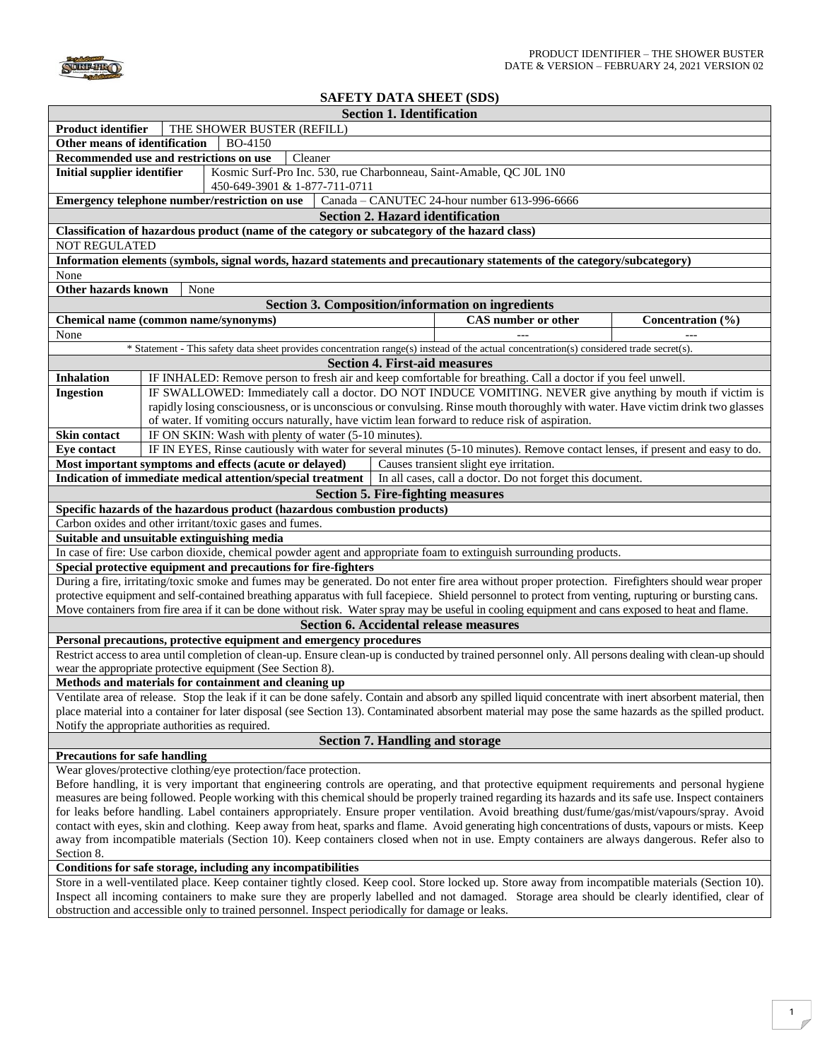

## **SAFETY DATA SHEET (SDS)**

|                                                                                                                                                          | <b>Section 1. Identification</b>                                                                                                                       |  |  |  |  |
|----------------------------------------------------------------------------------------------------------------------------------------------------------|--------------------------------------------------------------------------------------------------------------------------------------------------------|--|--|--|--|
| Product identifier                                                                                                                                       | THE SHOWER BUSTER (REFILL)                                                                                                                             |  |  |  |  |
| Other means of identification                                                                                                                            | <b>BO-4150</b>                                                                                                                                         |  |  |  |  |
|                                                                                                                                                          | Recommended use and restrictions on use<br>Cleaner                                                                                                     |  |  |  |  |
| <b>Initial supplier identifier</b><br>Kosmic Surf-Pro Inc. 530, rue Charbonneau, Saint-Amable, QC J0L 1N0                                                |                                                                                                                                                        |  |  |  |  |
|                                                                                                                                                          | 450-649-3901 & 1-877-711-0711                                                                                                                          |  |  |  |  |
|                                                                                                                                                          | Emergency telephone number/restriction on use<br>Canada - CANUTEC 24-hour number 613-996-6666                                                          |  |  |  |  |
|                                                                                                                                                          | <b>Section 2. Hazard identification</b>                                                                                                                |  |  |  |  |
|                                                                                                                                                          | Classification of hazardous product (name of the category or subcategory of the hazard class)                                                          |  |  |  |  |
| <b>NOT REGULATED</b>                                                                                                                                     |                                                                                                                                                        |  |  |  |  |
|                                                                                                                                                          | Information elements (symbols, signal words, hazard statements and precautionary statements of the category/subcategory)                               |  |  |  |  |
| None                                                                                                                                                     |                                                                                                                                                        |  |  |  |  |
| Other hazards known                                                                                                                                      | None                                                                                                                                                   |  |  |  |  |
|                                                                                                                                                          | <b>Section 3. Composition/information on ingredients</b>                                                                                               |  |  |  |  |
|                                                                                                                                                          | CAS number or other<br>Chemical name (common name/synonyms)<br>Concentration (%)                                                                       |  |  |  |  |
| None                                                                                                                                                     |                                                                                                                                                        |  |  |  |  |
|                                                                                                                                                          | * Statement - This safety data sheet provides concentration range(s) instead of the actual concentration(s) considered trade secret(s).                |  |  |  |  |
|                                                                                                                                                          | <b>Section 4. First-aid measures</b>                                                                                                                   |  |  |  |  |
| <b>Inhalation</b>                                                                                                                                        | IF INHALED: Remove person to fresh air and keep comfortable for breathing. Call a doctor if you feel unwell.                                           |  |  |  |  |
| <b>Ingestion</b>                                                                                                                                         | IF SWALLOWED: Immediately call a doctor. DO NOT INDUCE VOMITING. NEVER give anything by mouth if victim is                                             |  |  |  |  |
|                                                                                                                                                          | rapidly losing consciousness, or is unconscious or convulsing. Rinse mouth thoroughly with water. Have victim drink two glasses                        |  |  |  |  |
|                                                                                                                                                          | of water. If vomiting occurs naturally, have victim lean forward to reduce risk of aspiration.                                                         |  |  |  |  |
| <b>Skin contact</b>                                                                                                                                      | IF ON SKIN: Wash with plenty of water (5-10 minutes).                                                                                                  |  |  |  |  |
| <b>Eye contact</b>                                                                                                                                       | IF IN EYES, Rinse cautiously with water for several minutes (5-10 minutes). Remove contact lenses, if present and easy to do.                          |  |  |  |  |
|                                                                                                                                                          | Most important symptoms and effects (acute or delayed)<br>Causes transient slight eye irritation.                                                      |  |  |  |  |
|                                                                                                                                                          | Indication of immediate medical attention/special treatment   In all cases, call a doctor. Do not forget this document.                                |  |  |  |  |
|                                                                                                                                                          | <b>Section 5. Fire-fighting measures</b>                                                                                                               |  |  |  |  |
|                                                                                                                                                          | Specific hazards of the hazardous product (hazardous combustion products)                                                                              |  |  |  |  |
| Carbon oxides and other irritant/toxic gases and fumes.                                                                                                  |                                                                                                                                                        |  |  |  |  |
|                                                                                                                                                          | Suitable and unsuitable extinguishing media                                                                                                            |  |  |  |  |
| In case of fire: Use carbon dioxide, chemical powder agent and appropriate foam to extinguish surrounding products.                                      |                                                                                                                                                        |  |  |  |  |
|                                                                                                                                                          | Special protective equipment and precautions for fire-fighters                                                                                         |  |  |  |  |
|                                                                                                                                                          | During a fire, irritating/toxic smoke and fumes may be generated. Do not enter fire area without proper protection. Firefighters should wear proper    |  |  |  |  |
|                                                                                                                                                          | protective equipment and self-contained breathing apparatus with full facepiece. Shield personnel to protect from venting, rupturing or bursting cans. |  |  |  |  |
|                                                                                                                                                          | Move containers from fire area if it can be done without risk. Water spray may be useful in cooling equipment and cans exposed to heat and flame.      |  |  |  |  |
| <b>Section 6. Accidental release measures</b>                                                                                                            |                                                                                                                                                        |  |  |  |  |
| Personal precautions, protective equipment and emergency procedures                                                                                      |                                                                                                                                                        |  |  |  |  |
| Restrict access to area until completion of clean-up. Ensure clean-up is conducted by trained personnel only. All persons dealing with clean-up should   |                                                                                                                                                        |  |  |  |  |
| wear the appropriate protective equipment (See Section 8).<br>Methods and materials for containment and cleaning up                                      |                                                                                                                                                        |  |  |  |  |
| Ventilate area of release. Stop the leak if it can be done safely. Contain and absorb any spilled liquid concentrate with inert absorbent material, then |                                                                                                                                                        |  |  |  |  |
| place material into a container for later disposal (see Section 13). Contaminated absorbent material may pose the same hazards as the spilled product.   |                                                                                                                                                        |  |  |  |  |
| Notify the appropriate authorities as required.                                                                                                          |                                                                                                                                                        |  |  |  |  |
| <b>Section 7. Handling and storage</b>                                                                                                                   |                                                                                                                                                        |  |  |  |  |
| <b>Precautions for safe handling</b>                                                                                                                     |                                                                                                                                                        |  |  |  |  |
|                                                                                                                                                          | Wear gloves/protective clothing/eye protection/face protection.                                                                                        |  |  |  |  |
| Before handling, it is very important that engineering controls are operating, and that protective equipment requirements and personal hygiene           |                                                                                                                                                        |  |  |  |  |
|                                                                                                                                                          | measures are being followed. People working with this chemical should be properly trained regarding its hazards and its safe use. Inspect containers   |  |  |  |  |
| for leaks before handling. Label containers appropriately. Ensure proper ventilation. Avoid breathing dust/fume/gas/mist/vapours/spray. Avoid            |                                                                                                                                                        |  |  |  |  |
| contact with eyes, skin and clothing. Keep away from heat, sparks and flame. Avoid generating high concentrations of dusts, vapours or mists. Keep       |                                                                                                                                                        |  |  |  |  |
| away from incompatible materials (Section 10). Keep containers closed when not in use. Empty containers are always dangerous. Refer also to              |                                                                                                                                                        |  |  |  |  |
| Section 8.                                                                                                                                               |                                                                                                                                                        |  |  |  |  |
|                                                                                                                                                          | Conditions for safe storage, including any incompatibilities                                                                                           |  |  |  |  |
| Store in a well-ventilated place. Keep container tightly closed. Keep cool. Store locked up. Store away from incompatible materials (Section 10).        |                                                                                                                                                        |  |  |  |  |
| Inspect all incoming containers to make sure they are properly labelled and not damaged. Storage area should be clearly identified, clear of             |                                                                                                                                                        |  |  |  |  |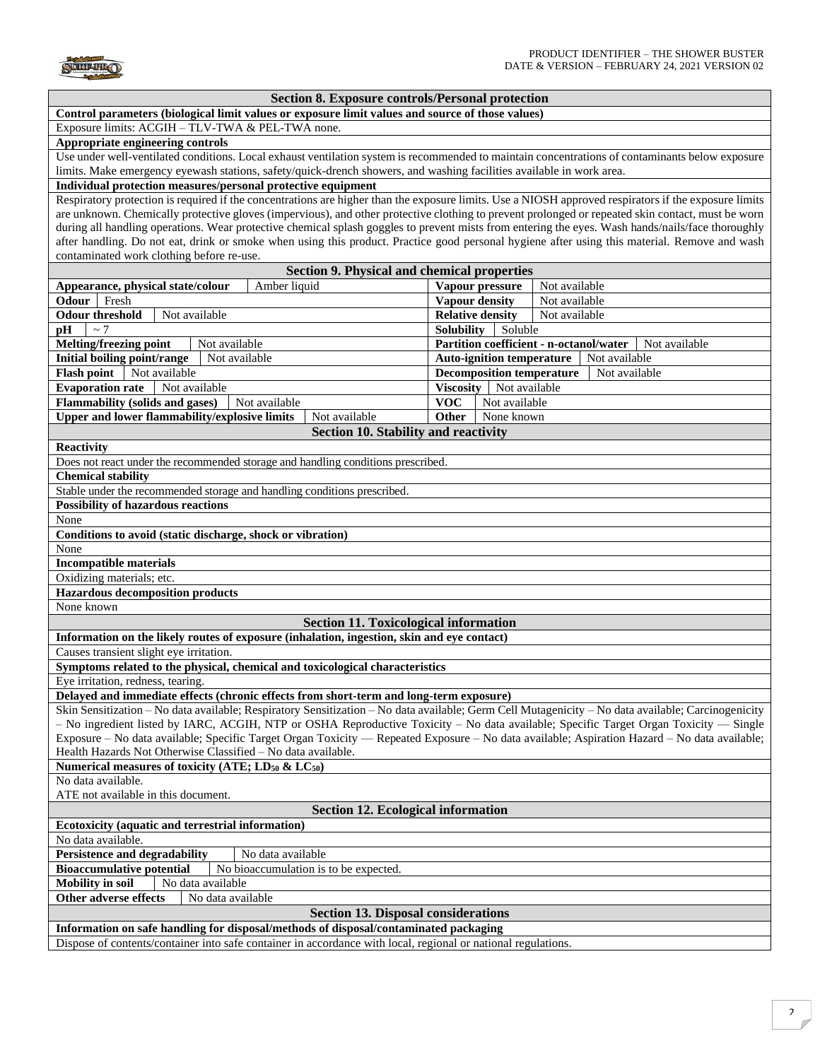

|  |  |  | <b>Section 8. Exposure controls/Personal protection</b> |  |
|--|--|--|---------------------------------------------------------|--|
|--|--|--|---------------------------------------------------------|--|

**Control parameters (biological limit values or exposure limit values and source of those values)** 

Exposure limits: ACGIH – TLV-TWA & PEL-TWA none.

## **Appropriate engineering controls**

Use under well-ventilated conditions. Local exhaust ventilation system is recommended to maintain concentrations of contaminants below exposure limits. Make emergency eyewash stations, safety/quick-drench showers, and washing facilities available in work area.

## **Individual protection measures/personal protective equipment**

Respiratory protection is required if the concentrations are higher than the exposure limits. Use a NIOSH approved respirators if the exposure limits are unknown. Chemically protective gloves (impervious), and other protective clothing to prevent prolonged or repeated skin contact, must be worn during all handling operations. Wear protective chemical splash goggles to prevent mists from entering the eyes. Wash hands/nails/face thoroughly after handling. Do not eat, drink or smoke when using this product. Practice good personal hygiene after using this material. Remove and wash contaminated work clothing before re-use.

| Section 9. Physical and chemical properties                                                                                                        |                                                   |                                                          |  |  |  |  |
|----------------------------------------------------------------------------------------------------------------------------------------------------|---------------------------------------------------|----------------------------------------------------------|--|--|--|--|
| Amber liquid<br>Appearance, physical state/colour                                                                                                  | Vapour pressure                                   | Not available                                            |  |  |  |  |
| <b>Odour</b> Fresh                                                                                                                                 | Vapour density                                    | Not available                                            |  |  |  |  |
| <b>Odour threshold</b><br>Not available                                                                                                            | <b>Relative density</b>                           | Not available                                            |  |  |  |  |
| $\sim$ 7<br>pН                                                                                                                                     | <b>Solubility</b><br>Soluble                      |                                                          |  |  |  |  |
| <b>Melting/freezing point</b><br>Not available                                                                                                     |                                                   | Partition coefficient - n-octanol/water<br>Not available |  |  |  |  |
| <b>Initial boiling point/range</b><br>Not available                                                                                                | <b>Auto-ignition temperature</b><br>Not available |                                                          |  |  |  |  |
| Not available<br><b>Flash point</b>                                                                                                                | <b>Decomposition temperature</b>                  | Not available                                            |  |  |  |  |
| <b>Evaporation rate</b><br>Not available                                                                                                           | Viscosity   Not available                         |                                                          |  |  |  |  |
| <b>Flammability (solids and gases)</b><br>Not available                                                                                            | <b>VOC</b><br>Not available                       |                                                          |  |  |  |  |
| <b>Upper and lower flammability/explosive limits</b><br>Not available                                                                              | <b>Other</b><br>None known                        |                                                          |  |  |  |  |
| <b>Section 10. Stability and reactivity</b>                                                                                                        |                                                   |                                                          |  |  |  |  |
| <b>Reactivity</b>                                                                                                                                  |                                                   |                                                          |  |  |  |  |
| Does not react under the recommended storage and handling conditions prescribed.                                                                   |                                                   |                                                          |  |  |  |  |
| <b>Chemical stability</b>                                                                                                                          |                                                   |                                                          |  |  |  |  |
| Stable under the recommended storage and handling conditions prescribed.                                                                           |                                                   |                                                          |  |  |  |  |
| <b>Possibility of hazardous reactions</b>                                                                                                          |                                                   |                                                          |  |  |  |  |
| None                                                                                                                                               |                                                   |                                                          |  |  |  |  |
| Conditions to avoid (static discharge, shock or vibration)                                                                                         |                                                   |                                                          |  |  |  |  |
| None                                                                                                                                               |                                                   |                                                          |  |  |  |  |
| <b>Incompatible materials</b>                                                                                                                      |                                                   |                                                          |  |  |  |  |
| Oxidizing materials; etc.                                                                                                                          |                                                   |                                                          |  |  |  |  |
| <b>Hazardous decomposition products</b>                                                                                                            |                                                   |                                                          |  |  |  |  |
| None known                                                                                                                                         |                                                   |                                                          |  |  |  |  |
| <b>Section 11. Toxicological information</b>                                                                                                       |                                                   |                                                          |  |  |  |  |
| Information on the likely routes of exposure (inhalation, ingestion, skin and eye contact)                                                         |                                                   |                                                          |  |  |  |  |
| Causes transient slight eye irritation.                                                                                                            |                                                   |                                                          |  |  |  |  |
| Symptoms related to the physical, chemical and toxicological characteristics                                                                       |                                                   |                                                          |  |  |  |  |
| Eye irritation, redness, tearing.                                                                                                                  |                                                   |                                                          |  |  |  |  |
| Delayed and immediate effects (chronic effects from short-term and long-term exposure)                                                             |                                                   |                                                          |  |  |  |  |
| Skin Sensitization - No data available; Respiratory Sensitization - No data available; Germ Cell Mutagenicity - No data available; Carcinogenicity |                                                   |                                                          |  |  |  |  |
| - No ingredient listed by IARC, ACGIH, NTP or OSHA Reproductive Toxicity - No data available; Specific Target Organ Toxicity - Single              |                                                   |                                                          |  |  |  |  |
| Exposure – No data available; Specific Target Organ Toxicity — Repeated Exposure – No data available; Aspiration Hazard – No data available;       |                                                   |                                                          |  |  |  |  |
| Health Hazards Not Otherwise Classified - No data available.                                                                                       |                                                   |                                                          |  |  |  |  |
| Numerical measures of toxicity (ATE; LD <sub>50</sub> & LC <sub>50</sub> )                                                                         |                                                   |                                                          |  |  |  |  |
| No data available.                                                                                                                                 |                                                   |                                                          |  |  |  |  |
| ATE not available in this document.                                                                                                                |                                                   |                                                          |  |  |  |  |
| <b>Section 12. Ecological information</b>                                                                                                          |                                                   |                                                          |  |  |  |  |
| Ecotoxicity (aquatic and terrestrial information)                                                                                                  |                                                   |                                                          |  |  |  |  |
| No data available.                                                                                                                                 |                                                   |                                                          |  |  |  |  |
| <b>Persistence and degradability</b><br>No data available                                                                                          |                                                   |                                                          |  |  |  |  |
| <b>Bioaccumulative potential</b><br>No bioaccumulation is to be expected.                                                                          |                                                   |                                                          |  |  |  |  |
| <b>Mobility</b> in soil<br>No data available                                                                                                       |                                                   |                                                          |  |  |  |  |
| Other adverse effects<br>No data available                                                                                                         |                                                   |                                                          |  |  |  |  |
| <b>Section 13. Disposal considerations</b>                                                                                                         |                                                   |                                                          |  |  |  |  |
| Information on safe handling for disposal/methods of disposal/contaminated packaging                                                               |                                                   |                                                          |  |  |  |  |
| Dispose of contents/container into safe container in accordance with local, regional or national regulations.                                      |                                                   |                                                          |  |  |  |  |